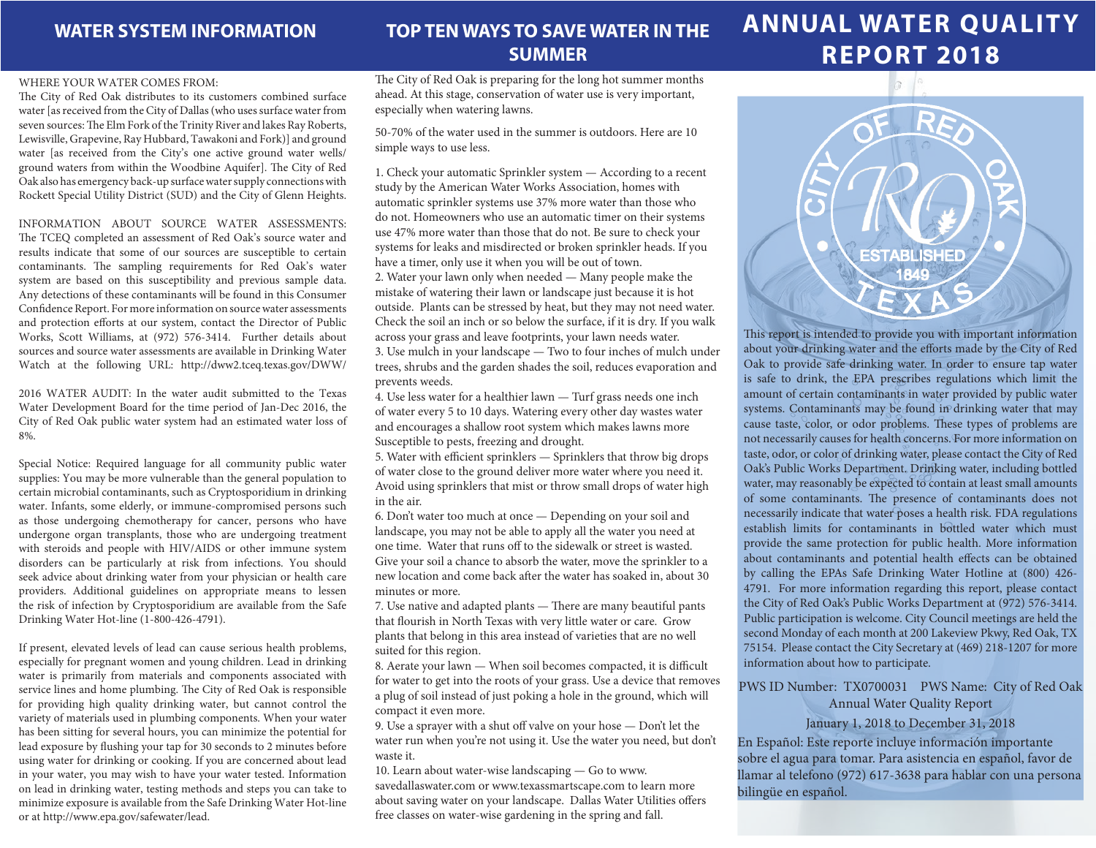### **WATER SYSTEM INFORMATION**

## **TOP TEN WAYS TO SAVE WATER IN THE SUMMER**

#### WHERE YOUR WATER COMES FROM:

The City of Red Oak distributes to its customers combined surface water [as received from the City of Dallas (who uses surface water from seven sources: The Elm Fork of the Trinity River and lakes Ray Roberts, Lewisville, Grapevine, Ray Hubbard, Tawakoni and Fork)] and ground water [as received from the City's one active ground water wells/ ground waters from within the Woodbine Aquifer]. The City of Red Oak also has emergency back-up surface water supply connections with Rockett Special Utility District (SUD) and the City of Glenn Heights.

INFORMATION ABOUT SOURCE WATER ASSESSMENTS:

The TCEQ completed an assessment of Red Oak's source water and results indicate that some of our sources are susceptible to certain contaminants. The sampling requirements for Red Oak's water system are based on this susceptibility and previous sample data. Any detections of these contaminants will be found in this Consumer Confidence Report. For more information on source water assessments and protection efforts at our system, contact the Director of Public Works, Scott Williams, at (972) 576-3414. Further details about sources and source water assessments are available in Drinking Water Watch at the following URL: http://dww2.tceq.texas.gov/DWW/

2016 WATER AUDIT: In the water audit submitted to the Texas Water Development Board for the time period of Jan-Dec 2016, the City of Red Oak public water system had an estimated water loss of 8%.

Special Notice: Required language for all community public water supplies: You may be more vulnerable than the general population to certain microbial contaminants, such as Cryptosporidium in drinking water. Infants, some elderly, or immune-compromised persons such as those undergoing chemotherapy for cancer, persons who have undergone organ transplants, those who are undergoing treatment with steroids and people with HIV/AIDS or other immune system disorders can be particularly at risk from infections. You should seek advice about drinking water from your physician or health care providers. Additional guidelines on appropriate means to lessen the risk of infection by Cryptosporidium are available from the Safe Drinking Water Hot-line (1-800-426-4791).

If present, elevated levels of lead can cause serious health problems, especially for pregnant women and young children. Lead in drinking water is primarily from materials and components associated with service lines and home plumbing. The City of Red Oak is responsible for providing high quality drinking water, but cannot control the variety of materials used in plumbing components. When your water has been sitting for several hours, you can minimize the potential for lead exposure by flushing your tap for 30 seconds to 2 minutes before using water for drinking or cooking. If you are concerned about lead in your water, you may wish to have your water tested. Information on lead in drinking water, testing methods and steps you can take to minimize exposure is available from the Safe Drinking Water Hot-line or at http://www.epa.gov/safewater/lead.

The City of Red Oak is preparing for the long hot summer months ahead. At this stage, conservation of water use is very important, especially when watering lawns.

50-70% of the water used in the summer is outdoors. Here are 10 simple ways to use less.

1. Check your automatic Sprinkler system — According to a recent study by the American Water Works Association, homes with automatic sprinkler systems use 37% more water than those who do not. Homeowners who use an automatic timer on their systems use 47% more water than those that do not. Be sure to check your systems for leaks and misdirected or broken sprinkler heads. If you have a timer, only use it when you will be out of town. 2. Water your lawn only when needed — Many people make the mistake of watering their lawn or landscape just because it is hot outside. Plants can be stressed by heat, but they may not need water. Check the soil an inch or so below the surface, if it is dry. If you walk across your grass and leave footprints, your lawn needs water. 3. Use mulch in your landscape — Two to four inches of mulch under trees, shrubs and the garden shades the soil, reduces evaporation and prevents weeds.

4. Use less water for a healthier lawn — Turf grass needs one inch of water every 5 to 10 days. Watering every other day wastes water and encourages a shallow root system which makes lawns more Susceptible to pests, freezing and drought.

5. Water with efficient sprinklers — Sprinklers that throw big drops of water close to the ground deliver more water where you need it. Avoid using sprinklers that mist or throw small drops of water high in the air.

6. Don't water too much at once — Depending on your soil and landscape, you may not be able to apply all the water you need at one time. Water that runs off to the sidewalk or street is wasted. Give your soil a chance to absorb the water, move the sprinkler to a new location and come back after the water has soaked in, about 30 minutes or more.

7. Use native and adapted plants — There are many beautiful pants that flourish in North Texas with very little water or care. Grow plants that belong in this area instead of varieties that are no well suited for this region.

8. Aerate your lawn — When soil becomes compacted, it is difficult for water to get into the roots of your grass. Use a device that removes a plug of soil instead of just poking a hole in the ground, which will compact it even more.

9. Use a sprayer with a shut off valve on your hose — Don't let the water run when you're not using it. Use the water you need, but don't waste it.

10. Learn about water-wise landscaping — Go to www. savedallaswater.com or www.texassmartscape.com to learn more about saving water on your landscape. Dallas Water Utilities offers free classes on water-wise gardening in the spring and fall.

# **ANNUAL WATER QUALITY REPORT 2018**



This report is intended to provide you with important information about your drinking water and the efforts made by the City of Red Oak to provide safe drinking water. In order to ensure tap water is safe to drink, the EPA prescribes regulations which limit the amount of certain contaminants in water provided by public water systems. Contaminants may be found in drinking water that may cause taste, color, or odor problems. These types of problems are not necessarily causes for health concerns. For more information on taste, odor, or color of drinking water, please contact the City of Red Oak's Public Works Department. Drinking water, including bottled water, may reasonably be expected to contain at least small amounts of some contaminants. The presence of contaminants does not necessarily indicate that water poses a health risk. FDA regulations establish limits for contaminants in bottled water which must provide the same protection for public health. More information about contaminants and potential health effects can be obtained by calling the EPAs Safe Drinking Water Hotline at (800) 426- 4791. For more information regarding this report, please contact the City of Red Oak's Public Works Department at (972) 576-3414. Public participation is welcome. City Council meetings are held the second Monday of each month at 200 Lakeview Pkwy, Red Oak, TX 75154. Please contact the City Secretary at (469) 218-1207 for more information about how to participate.

PWS ID Number: TX0700031 PWS Name: City of Red Oak Annual Water Quality Report

### January 1, 2018 to December 31, 2018

En Español: Este reporte incluye información importante sobre el agua para tomar. Para asistencia en español, favor de llamar al telefono (972) 617-3638 para hablar con una persona bilingüe en español.